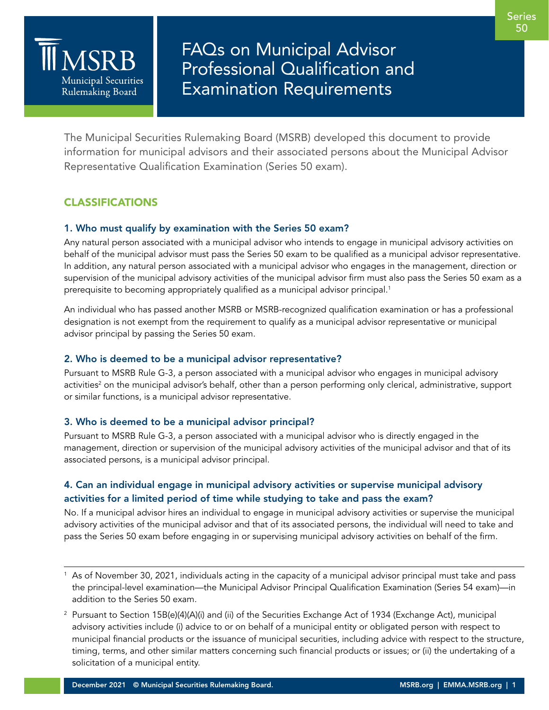

FAQs on Municipal Advisor Professional Qualification and Examination Requirements

The Municipal Securities Rulemaking Board (MSRB) developed this document to provide information for municipal advisors and their associated persons about the Municipal Advisor Representative Qualification Examination (Series 50 exam).

# CLASSIFICATIONS

# 1. Who must qualify by examination with the Series 50 exam?

Any natural person associated with a municipal advisor who intends to engage in municipal advisory activities on behalf of the municipal advisor must pass the Series 50 exam to be qualified as a municipal advisor representative. In addition, any natural person associated with a municipal advisor who engages in the management, direction or supervision of the municipal advisory activities of the municipal advisor firm must also pass the Series 50 exam as a prerequisite to becoming appropriately qualified as a municipal advisor principal.<sup>1</sup>

An individual who has passed another MSRB or MSRB-recognized qualification examination or has a professional designation is not exempt from the requirement to qualify as a municipal advisor representative or municipal advisor principal by passing the Series 50 exam.

# 2. Who is deemed to be a municipal advisor representative?

Pursuant to MSRB Rule G-3, a person associated with a municipal advisor who engages in municipal advisory activities<sup>2</sup> on the municipal advisor's behalf, other than a person performing only clerical, administrative, support or similar functions, is a municipal advisor representative.

# 3. Who is deemed to be a municipal advisor principal?

Pursuant to MSRB Rule G-3, a person associated with a municipal advisor who is directly engaged in the management, direction or supervision of the municipal advisory activities of the municipal advisor and that of its associated persons, is a municipal advisor principal.

# 4. Can an individual engage in municipal advisory activities or supervise municipal advisory activities for a limited period of time while studying to take and pass the exam?

No. If a municipal advisor hires an individual to engage in municipal advisory activities or supervise the municipal advisory activities of the municipal advisor and that of its associated persons, the individual will need to take and pass the Series 50 exam before engaging in or supervising municipal advisory activities on behalf of the firm.

As of November 30, 2021, individuals acting in the capacity of a municipal advisor principal must take and pass the principal-level examination—the Municipal Advisor Principal Qualification Examination (Series 54 exam)—in addition to the Series 50 exam.

<sup>&</sup>lt;sup>2</sup> Pursuant to Section 15B(e)(4)(A)(i) and (ii) of the Securities Exchange Act of 1934 (Exchange Act), municipal advisory activities include (i) advice to or on behalf of a municipal entity or obligated person with respect to municipal financial products or the issuance of municipal securities, including advice with respect to the structure, timing, terms, and other similar matters concerning such financial products or issues; or (ii) the undertaking of a solicitation of a municipal entity.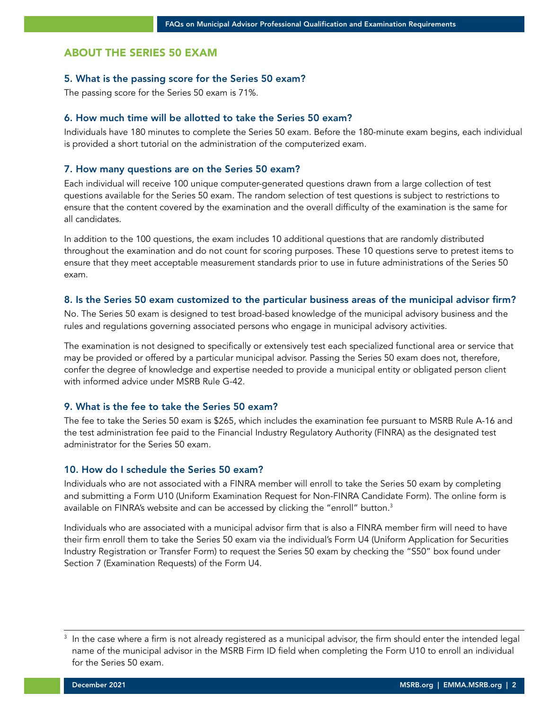## ABOUT THE SERIES 50 EXAM

#### 5. What is the passing score for the Series 50 exam?

The passing score for the Series 50 exam is 71%.

#### 6. How much time will be allotted to take the Series 50 exam?

Individuals have 180 minutes to complete the Series 50 exam. Before the 180-minute exam begins, each individual is provided a short tutorial on the administration of the computerized exam.

#### 7. How many questions are on the Series 50 exam?

Each individual will receive 100 unique computer-generated questions drawn from a large collection of test questions available for the Series 50 exam. The random selection of test questions is subject to restrictions to ensure that the content covered by the examination and the overall difficulty of the examination is the same for all candidates.

In addition to the 100 questions, the exam includes 10 additional questions that are randomly distributed throughout the examination and do not count for scoring purposes. These 10 questions serve to pretest items to ensure that they meet acceptable measurement standards prior to use in future administrations of the Series 50 exam.

#### 8. Is the Series 50 exam customized to the particular business areas of the municipal advisor firm?

No. The Series 50 exam is designed to test broad-based knowledge of the municipal advisory business and the rules and regulations governing associated persons who engage in municipal advisory activities.

The examination is not designed to specifically or extensively test each specialized functional area or service that may be provided or offered by a particular municipal advisor. Passing the Series 50 exam does not, therefore, confer the degree of knowledge and expertise needed to provide a municipal entity or obligated person client with informed advice under MSRB Rule G-42.

### 9. What is the fee to take the Series 50 exam?

The fee to take the Series 50 exam is \$265, which includes the examination fee pursuant to MSRB Rule A-16 and the test administration fee paid to the Financial Industry Regulatory Authority (FINRA) as the designated test administrator for the Series 50 exam.

### 10. How do I schedule the Series 50 exam?

Individuals who are not associated with a FINRA member will enroll to take the Series 50 exam by completing and submitting a Form U10 (Uniform Examination Request for Non-FINRA Candidate Form). The online form is available on FINRA's website and can be accessed by clicking the "enroll" button.<sup>3</sup>

Individuals who are associated with a municipal advisor firm that is also a FINRA member firm will need to have their firm enroll them to take the Series 50 exam via the individual's Form U4 (Uniform Application for Securities Industry Registration or Transfer Form) to request the Series 50 exam by checking the "S50" box found under Section 7 (Examination Requests) of the Form U4.

<sup>&</sup>lt;sup>3</sup> In the case where a firm is not already registered as a municipal advisor, the firm should enter the intended legal name of the municipal advisor in the MSRB Firm ID field when completing the Form U10 to enroll an individual for the Series 50 exam.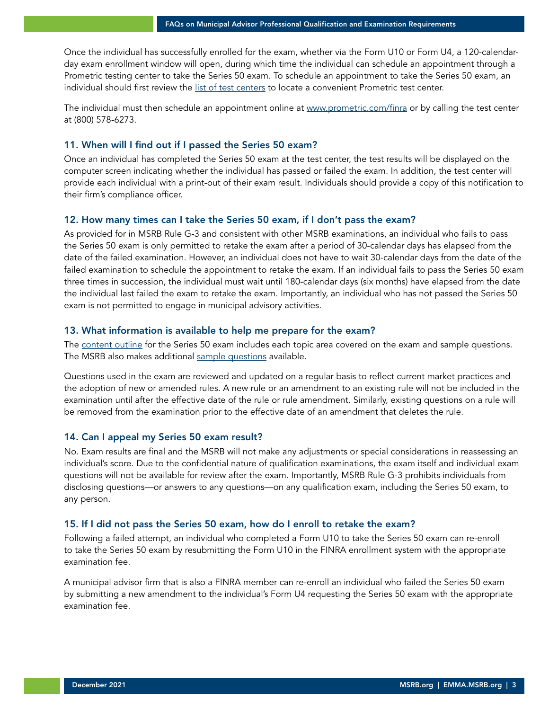Once the individual has successfully enrolled for the exam, whether via the Form U10 or Form U4, a 120-calendarday exam enrollment window will open, during which time the individual can schedule an appointment through a Prometric testing center to take the Series 50 exam. To schedule an appointment to take the Series 50 exam, an individual should first review the [list of test centers](http://apps.finra.org/TestCenter/1/locations.aspx) to locate a convenient Prometric test center.

The individual must then schedule an appointment online at [www.prometric.com/finra](http://www.prometric.com/finra) or by calling the test center at (800) 578-6273.

#### 11. When will I find out if I passed the Series 50 exam?

Once an individual has completed the Series 50 exam at the test center, the test results will be displayed on the computer screen indicating whether the individual has passed or failed the exam. In addition, the test center will provide each individual with a print-out of their exam result. Individuals should provide a copy of this notification to their firm's compliance officer.

### 12. How many times can I take the Series 50 exam, if I don't pass the exam?

As provided for in MSRB Rule G-3 and consistent with other MSRB examinations, an individual who fails to pass the Series 50 exam is only permitted to retake the exam after a period of 30-calendar days has elapsed from the date of the failed examination. However, an individual does not have to wait 30-calendar days from the date of the failed examination to schedule the appointment to retake the exam. If an individual fails to pass the Series 50 exam three times in succession, the individual must wait until 180-calendar days (six months) have elapsed from the date the individual last failed the exam to retake the exam. Importantly, an individual who has not passed the Series 50 exam is not permitted to engage in municipal advisory activities.

### 13. What information is available to help me prepare for the exam?

The [content outline](http://www.msrb.org/msrb1/pdfs/Series-50-Content-Outline.pdf) for the Series 50 exam includes each topic area covered on the exam and sample questions. The MSRB also makes additional [sample questions](http://www.msrb.org/msrb1/pdfs/MSRB-Series-50-Sample-Questions.pdf) available.

Questions used in the exam are reviewed and updated on a regular basis to reflect current market practices and the adoption of new or amended rules. A new rule or an amendment to an existing rule will not be included in the examination until after the effective date of the rule or rule amendment. Similarly, existing questions on a rule will be removed from the examination prior to the effective date of an amendment that deletes the rule.

#### 14. Can I appeal my Series 50 exam result?

No. Exam results are final and the MSRB will not make any adjustments or special considerations in reassessing an individual's score. Due to the confidential nature of qualification examinations, the exam itself and individual exam questions will not be available for review after the exam. Importantly, MSRB Rule G-3 prohibits individuals from disclosing questions—or answers to any questions—on any qualification exam, including the Series 50 exam, to any person.

#### 15. If I did not pass the Series 50 exam, how do I enroll to retake the exam?

Following a failed attempt, an individual who completed a Form U10 to take the Series 50 exam can re-enroll to take the Series 50 exam by resubmitting the Form U10 in the FINRA enrollment system with the appropriate examination fee.

A municipal advisor firm that is also a FINRA member can re-enroll an individual who failed the Series 50 exam by submitting a new amendment to the individual's Form U4 requesting the Series 50 exam with the appropriate examination fee.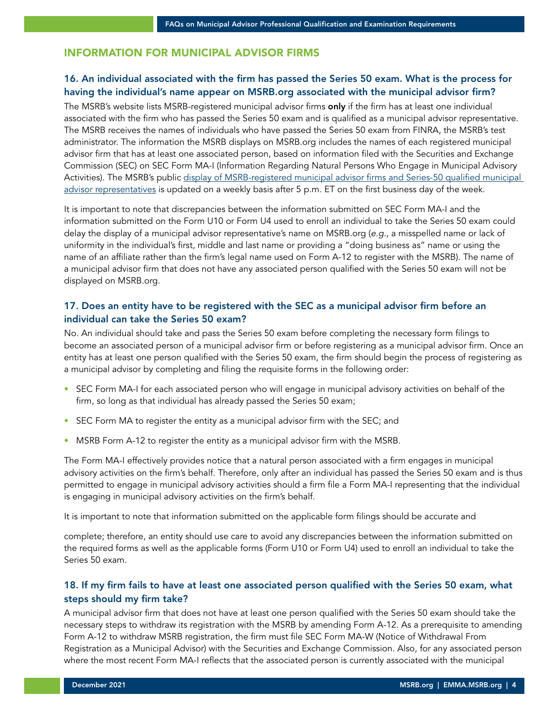# INFORMATION FOR MUNICIPAL ADVISOR FIRMS

# 16. An individual associated with the firm has passed the Series 50 exam. What is the process for having the individual's name appear on MSRB.org associated with the municipal advisor firm?

The MSRB's website lists MSRB-registered municipal advisor firms only if the firm has at least one individual associated with the firm who has passed the Series 50 exam and is qualified as a municipal advisor representative. The MSRB receives the names of individuals who have passed the Series 50 exam from FINRA, the MSRB's test administrator. The information the MSRB displays on MSRB.org includes the names of each registered municipal advisor firm that has at least one associated person, based on information filed with the Securities and Exchange Commission (SEC) on SEC Form MA-I (Information Regarding Natural Persons Who Engage in Municipal Advisory Activities). The MSRB's public display of MSRB-registered municipal advisor firms and Series-50 qualified municipal [advisor representatives](http://www.msrb.org/MARegistrants.aspx) is updated on a weekly basis after 5 p.m. ET on the first business day of the week.

It is important to note that discrepancies between the information submitted on SEC Form MA-I and the information submitted on the Form U10 or Form U4 used to enroll an individual to take the Series 50 exam could delay the display of a municipal advisor representative's name on MSRB.org (*e.g.*, a misspelled name or lack of uniformity in the individual's first, middle and last name or providing a "doing business as" name or using the name of an affiliate rather than the firm's legal name used on Form A-12 to register with the MSRB). The name of a municipal advisor firm that does not have any associated person qualified with the Series 50 exam will not be displayed on MSRB.org.

# 17. Does an entity have to be registered with the SEC as a municipal advisor firm before an individual can take the Series 50 exam?

No. An individual should take and pass the Series 50 exam before completing the necessary form filings to become an associated person of a municipal advisor firm or before registering as a municipal advisor firm. Once an entity has at least one person qualified with the Series 50 exam, the firm should begin the process of registering as a municipal advisor by completing and filing the requisite forms in the following order:

- SEC Form MA-I for each associated person who will engage in municipal advisory activities on behalf of the firm, so long as that individual has already passed the Series 50 exam;
- SEC Form MA to register the entity as a municipal advisor firm with the SEC; and
- MSRB Form A-12 to register the entity as a municipal advisor firm with the MSRB.

The Form MA-I effectively provides notice that a natural person associated with a firm engages in municipal advisory activities on the firm's behalf. Therefore, only after an individual has passed the Series 50 exam and is thus permitted to engage in municipal advisory activities should a firm file a Form MA-I representing that the individual is engaging in municipal advisory activities on the firm's behalf.

It is important to note that information submitted on the applicable form filings should be accurate and

complete; therefore, an entity should use care to avoid any discrepancies between the information submitted on the required forms as well as the applicable forms (Form U10 or Form U4) used to enroll an individual to take the Series 50 exam.

# 18. If my firm fails to have at least one associated person qualified with the Series 50 exam, what steps should my firm take?

A municipal advisor firm that does not have at least one person qualified with the Series 50 exam should take the necessary steps to withdraw its registration with the MSRB by amending Form A-12. As a prerequisite to amending Form A-12 to withdraw MSRB registration, the firm must file SEC Form MA-W (Notice of Withdrawal From Registration as a Municipal Advisor) with the Securities and Exchange Commission. Also, for any associated person where the most recent Form MA-I reflects that the associated person is currently associated with the municipal